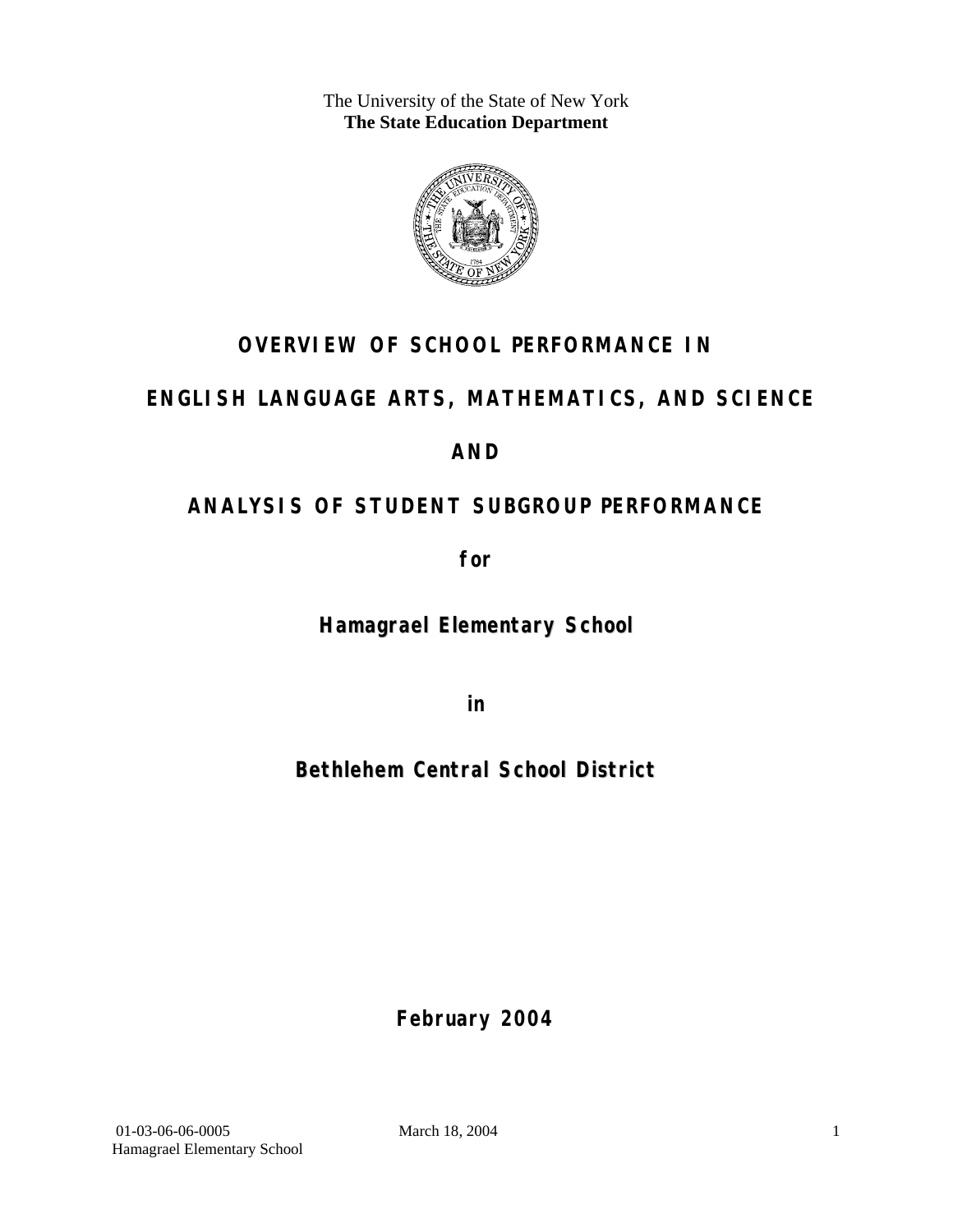The University of the State of New York **The State Education Department** 



## **OVERVIEW OF SCHOOL PERFORMANCE IN**

### **ENGLISH LANGUAGE ARTS, MATHEMATICS, AND SCIENCE**

### **AND**

## **ANALYSIS OF STUDENT SUBGROUP PERFORMANCE**

**for** 

**Hamagrael Elementary School**

**in** 

## **Bethlehem Central School District**

**February 2004**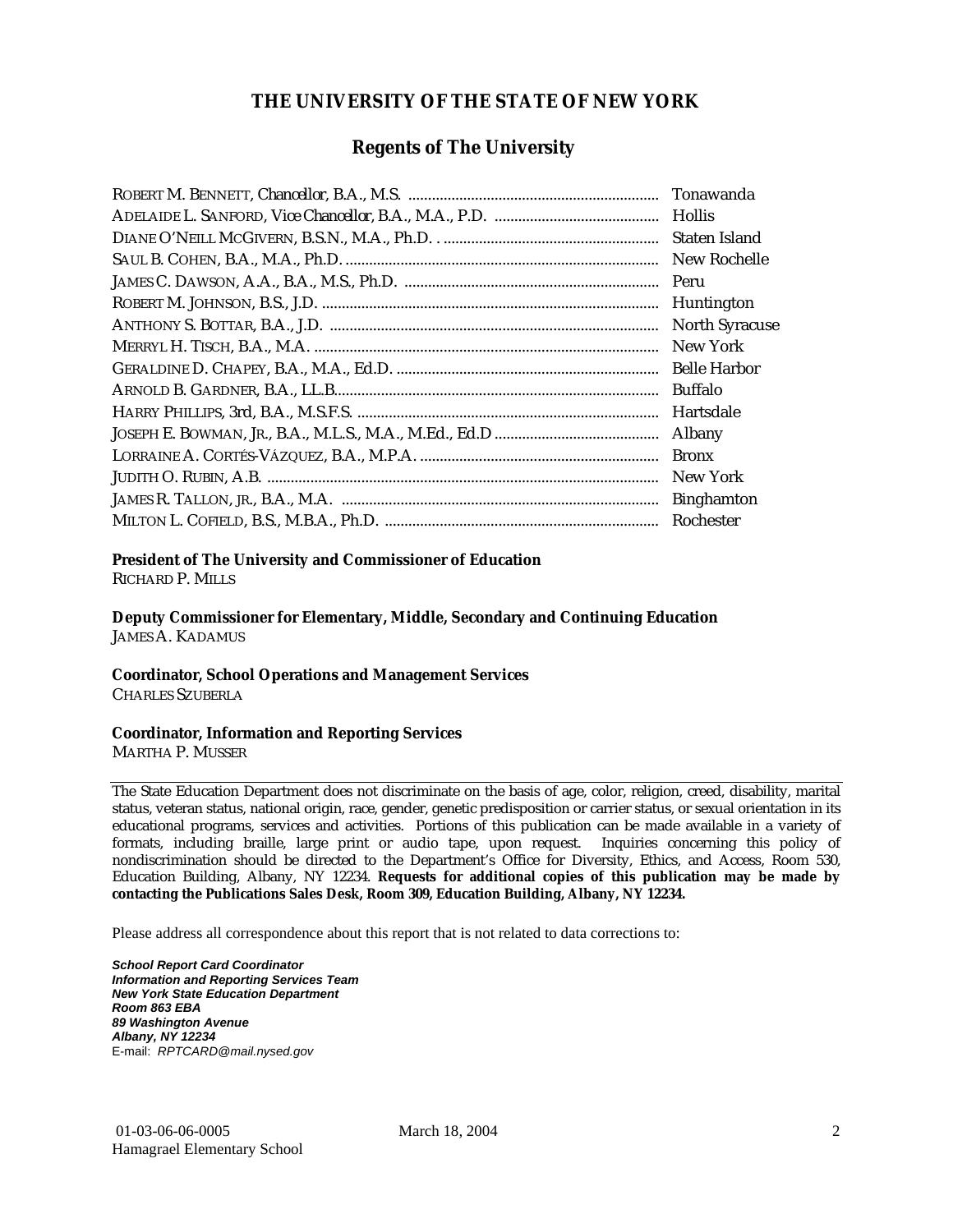#### **THE UNIVERSITY OF THE STATE OF NEW YORK**

#### **Regents of The University**

| Tonawanda             |
|-----------------------|
| <b>Hollis</b>         |
| Staten Island         |
| New Rochelle          |
| Peru                  |
| Huntington            |
| <b>North Syracuse</b> |
| New York              |
| <b>Belle Harbor</b>   |
| Buffalo               |
| Hartsdale             |
| Albany                |
| <b>Bronx</b>          |
| New York              |
| <b>Binghamton</b>     |
| Rochester             |

#### **President of The University and Commissioner of Education**

RICHARD P. MILLS

**Deputy Commissioner for Elementary, Middle, Secondary and Continuing Education**  JAMES A. KADAMUS

#### **Coordinator, School Operations and Management Services**

CHARLES SZUBERLA

#### **Coordinator, Information and Reporting Services**

MARTHA P. MUSSER

The State Education Department does not discriminate on the basis of age, color, religion, creed, disability, marital status, veteran status, national origin, race, gender, genetic predisposition or carrier status, or sexual orientation in its educational programs, services and activities. Portions of this publication can be made available in a variety of formats, including braille, large print or audio tape, upon request. Inquiries concerning this policy of nondiscrimination should be directed to the Department's Office for Diversity, Ethics, and Access, Room 530, Education Building, Albany, NY 12234. **Requests for additional copies of this publication may be made by contacting the Publications Sales Desk, Room 309, Education Building, Albany, NY 12234.** 

Please address all correspondence about this report that is not related to data corrections to:

*School Report Card Coordinator Information and Reporting Services Team New York State Education Department Room 863 EBA 89 Washington Avenue Albany, NY 12234*  E-mail: *RPTCARD@mail.nysed.gov*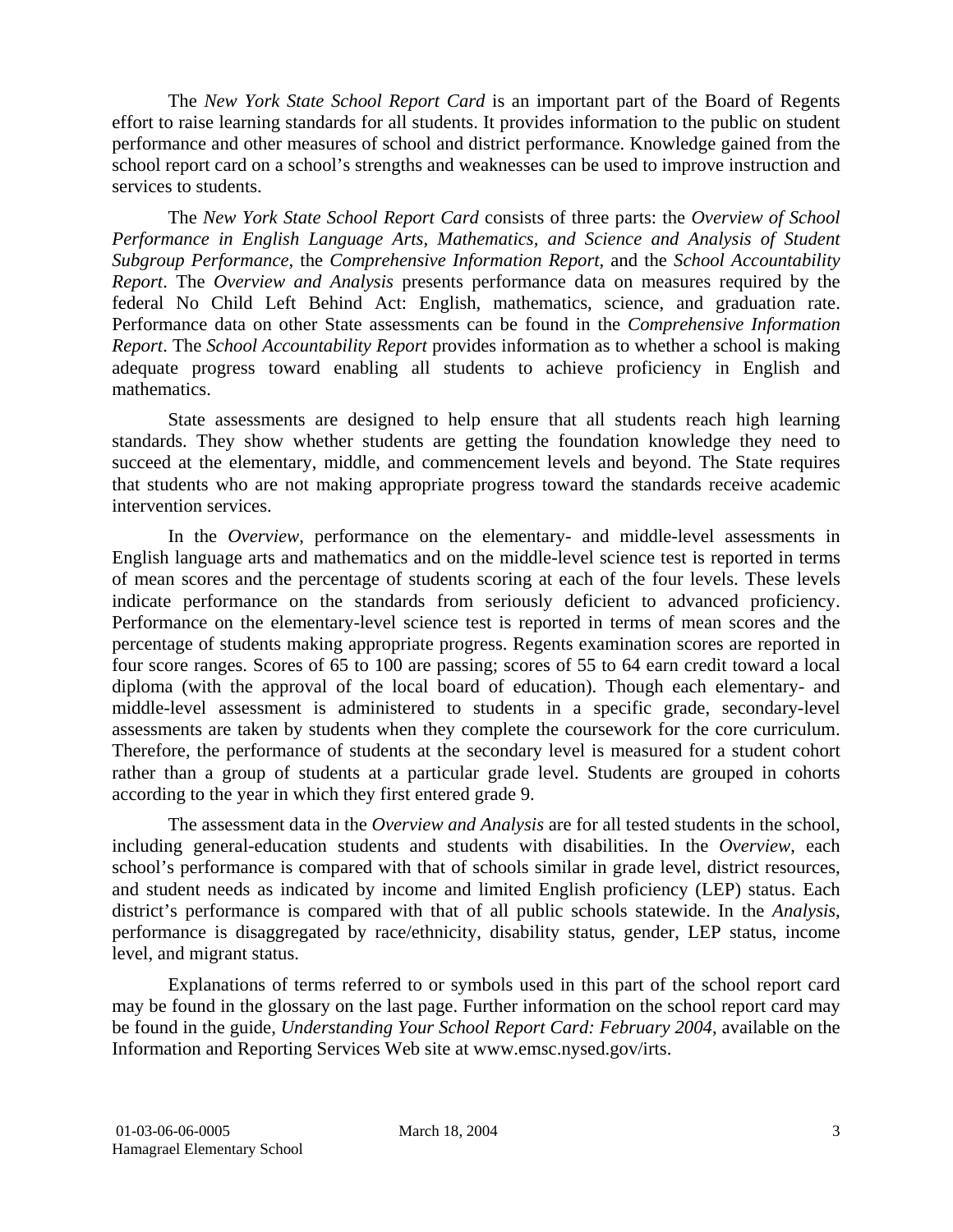The *New York State School Report Card* is an important part of the Board of Regents effort to raise learning standards for all students. It provides information to the public on student performance and other measures of school and district performance. Knowledge gained from the school report card on a school's strengths and weaknesses can be used to improve instruction and services to students.

The *New York State School Report Card* consists of three parts: the *Overview of School Performance in English Language Arts, Mathematics, and Science and Analysis of Student Subgroup Performance,* the *Comprehensive Information Report,* and the *School Accountability Report*. The *Overview and Analysis* presents performance data on measures required by the federal No Child Left Behind Act: English, mathematics, science, and graduation rate. Performance data on other State assessments can be found in the *Comprehensive Information Report*. The *School Accountability Report* provides information as to whether a school is making adequate progress toward enabling all students to achieve proficiency in English and mathematics.

State assessments are designed to help ensure that all students reach high learning standards. They show whether students are getting the foundation knowledge they need to succeed at the elementary, middle, and commencement levels and beyond. The State requires that students who are not making appropriate progress toward the standards receive academic intervention services.

In the *Overview*, performance on the elementary- and middle-level assessments in English language arts and mathematics and on the middle-level science test is reported in terms of mean scores and the percentage of students scoring at each of the four levels. These levels indicate performance on the standards from seriously deficient to advanced proficiency. Performance on the elementary-level science test is reported in terms of mean scores and the percentage of students making appropriate progress. Regents examination scores are reported in four score ranges. Scores of 65 to 100 are passing; scores of 55 to 64 earn credit toward a local diploma (with the approval of the local board of education). Though each elementary- and middle-level assessment is administered to students in a specific grade, secondary-level assessments are taken by students when they complete the coursework for the core curriculum. Therefore, the performance of students at the secondary level is measured for a student cohort rather than a group of students at a particular grade level. Students are grouped in cohorts according to the year in which they first entered grade 9.

The assessment data in the *Overview and Analysis* are for all tested students in the school, including general-education students and students with disabilities. In the *Overview*, each school's performance is compared with that of schools similar in grade level, district resources, and student needs as indicated by income and limited English proficiency (LEP) status. Each district's performance is compared with that of all public schools statewide. In the *Analysis*, performance is disaggregated by race/ethnicity, disability status, gender, LEP status, income level, and migrant status.

Explanations of terms referred to or symbols used in this part of the school report card may be found in the glossary on the last page. Further information on the school report card may be found in the guide, *Understanding Your School Report Card: February 2004*, available on the Information and Reporting Services Web site at www.emsc.nysed.gov/irts.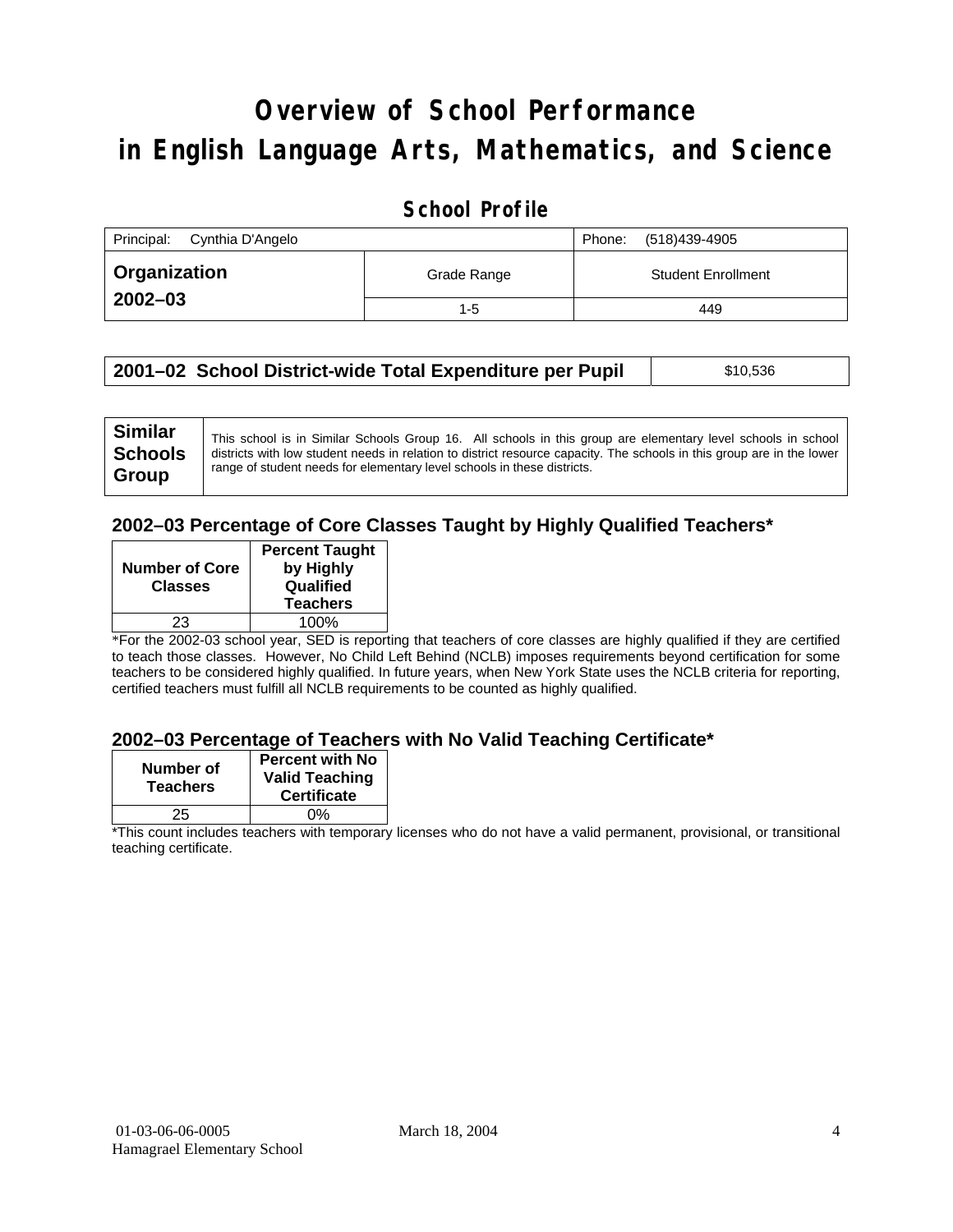# **Overview of School Performance in English Language Arts, Mathematics, and Science**

### **School Profile**

| Principal: Cynthia D'Angelo |             | (518)439-4905<br>Phone:   |
|-----------------------------|-------------|---------------------------|
| <b>Organization</b>         | Grade Range | <b>Student Enrollment</b> |
| $2002 - 03$                 | $1 - 5$     | 449                       |

| 2001–02 School District-wide Total Expenditure per Pupil | \$10,536 |  |
|----------------------------------------------------------|----------|--|
|----------------------------------------------------------|----------|--|

#### **2002–03 Percentage of Core Classes Taught by Highly Qualified Teachers\***

| <b>Number of Core</b><br><b>Classes</b> | <b>Percent Taught</b><br>by Highly<br>Qualified<br><b>Teachers</b> |
|-----------------------------------------|--------------------------------------------------------------------|
| 23                                      | 100%                                                               |
|                                         |                                                                    |

\*For the 2002-03 school year, SED is reporting that teachers of core classes are highly qualified if they are certified to teach those classes. However, No Child Left Behind (NCLB) imposes requirements beyond certification for some teachers to be considered highly qualified. In future years, when New York State uses the NCLB criteria for reporting, certified teachers must fulfill all NCLB requirements to be counted as highly qualified.

#### **2002–03 Percentage of Teachers with No Valid Teaching Certificate\***

| Number of<br><b>Teachers</b> | <b>Percent with No</b><br><b>Valid Teaching</b><br><b>Certificate</b> |
|------------------------------|-----------------------------------------------------------------------|
| 25                           | ሰ‰                                                                    |

\*This count includes teachers with temporary licenses who do not have a valid permanent, provisional, or transitional teaching certificate.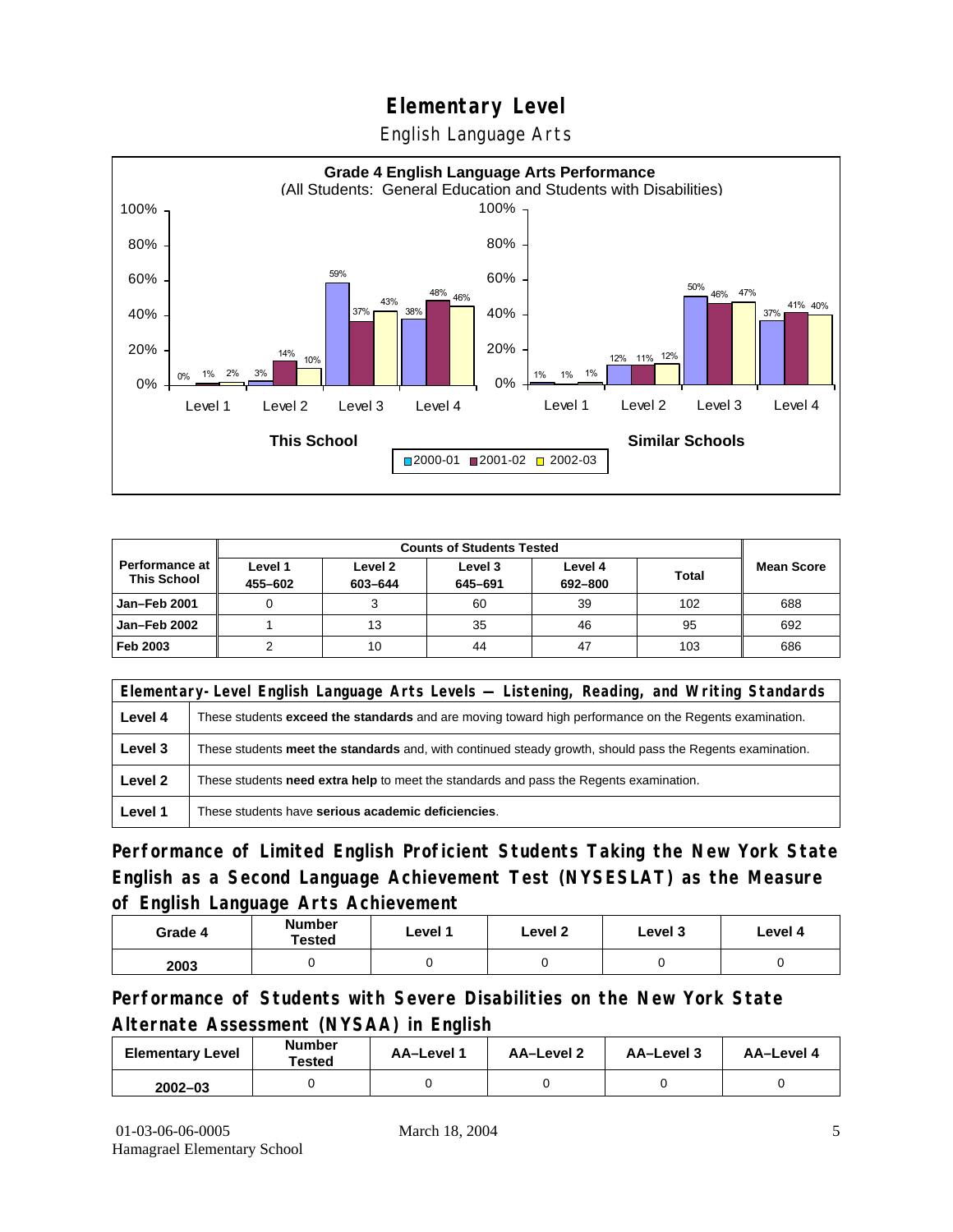English Language Arts



|                                               |                    | <b>Counts of Students Tested</b> |                    |                    |              |                   |  |
|-----------------------------------------------|--------------------|----------------------------------|--------------------|--------------------|--------------|-------------------|--|
| <b>Performance at l</b><br><b>This School</b> | Level 1<br>455-602 | Level 2<br>603-644               | Level 3<br>645-691 | Level 4<br>692-800 | <b>Total</b> | <b>Mean Score</b> |  |
| Jan-Feb 2001                                  |                    |                                  | 60                 | 39                 | 102          | 688               |  |
| Jan-Feb 2002                                  |                    | 13                               | 35                 | 46                 | 95           | 692               |  |
| Feb 2003                                      |                    | 10                               | 44                 | 47                 | 103          | 686               |  |

|         | Elementary-Level English Language Arts Levels — Listening, Reading, and Writing Standards                 |  |  |  |  |
|---------|-----------------------------------------------------------------------------------------------------------|--|--|--|--|
| Level 4 | These students exceed the standards and are moving toward high performance on the Regents examination.    |  |  |  |  |
| Level 3 | These students meet the standards and, with continued steady growth, should pass the Regents examination. |  |  |  |  |
| Level 2 | These students <b>need extra help</b> to meet the standards and pass the Regents examination.             |  |  |  |  |
| Level 1 | These students have serious academic deficiencies.                                                        |  |  |  |  |

**Performance of Limited English Proficient Students Taking the New York State English as a Second Language Achievement Test (NYSESLAT) as the Measure of English Language Arts Achievement**

| Grade 4 | <b>Number</b><br><b>Tested</b> | Level 1 | Level 2 | Level 3 | Level 4 |
|---------|--------------------------------|---------|---------|---------|---------|
| 2003    |                                |         |         |         |         |

**Performance of Students with Severe Disabilities on the New York State Alternate Assessment (NYSAA) in English** 

| <b>Elementary Level</b> | <b>Number</b><br>Tested | AA-Level | AA-Level 2 | AA-Level 3 | AA-Level 4 |
|-------------------------|-------------------------|----------|------------|------------|------------|
| $2002 - 03$             |                         |          |            |            |            |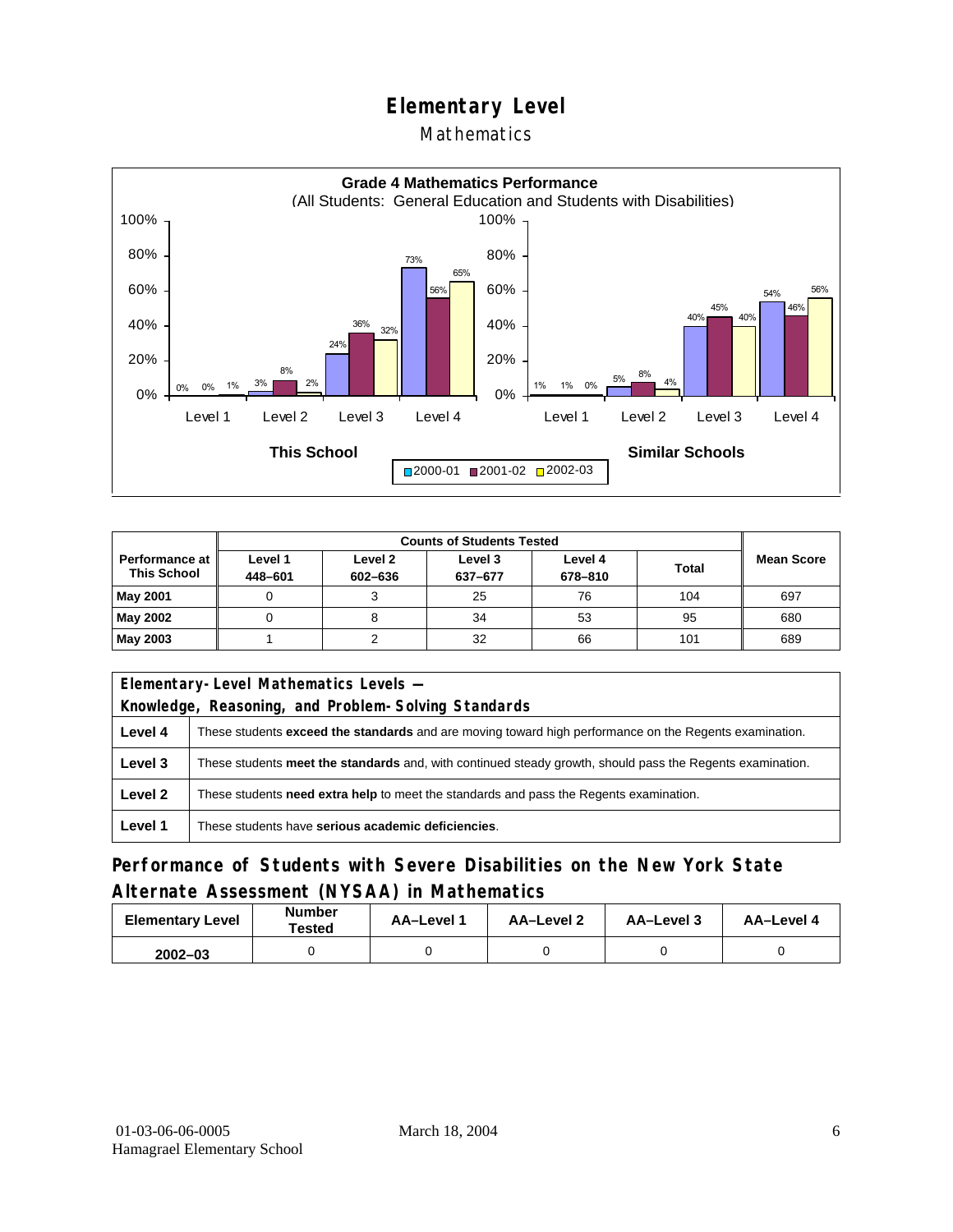#### Mathematics



|                                      |                    | <b>Counts of Students Tested</b> |                    |                    |              |                   |  |
|--------------------------------------|--------------------|----------------------------------|--------------------|--------------------|--------------|-------------------|--|
| Performance at<br><b>This School</b> | Level 1<br>448-601 | Level 2<br>602-636               | Level 3<br>637-677 | Level 4<br>678-810 | <b>Total</b> | <b>Mean Score</b> |  |
| <b>May 2001</b>                      |                    |                                  | 25                 | 76                 | 104          | 697               |  |
| May 2002                             |                    |                                  | 34                 | 53                 | 95           | 680               |  |
| May 2003                             |                    |                                  | 32                 | 66                 | 101          | 689               |  |

|         | Elementary-Level Mathematics Levels -                                                                     |  |  |  |  |
|---------|-----------------------------------------------------------------------------------------------------------|--|--|--|--|
|         | Knowledge, Reasoning, and Problem-Solving Standards                                                       |  |  |  |  |
| Level 4 | These students exceed the standards and are moving toward high performance on the Regents examination.    |  |  |  |  |
| Level 3 | These students meet the standards and, with continued steady growth, should pass the Regents examination. |  |  |  |  |
| Level 2 | These students need extra help to meet the standards and pass the Regents examination.                    |  |  |  |  |
| Level 1 | These students have serious academic deficiencies.                                                        |  |  |  |  |

### **Performance of Students with Severe Disabilities on the New York State Alternate Assessment (NYSAA) in Mathematics**

| <b>Elementary Level</b> | <b>Number</b><br>Tested | AA-Level 1 | AA-Level 2 | AA-Level 3 | AA-Level 4 |  |
|-------------------------|-------------------------|------------|------------|------------|------------|--|
| $2002 - 03$             |                         |            |            |            |            |  |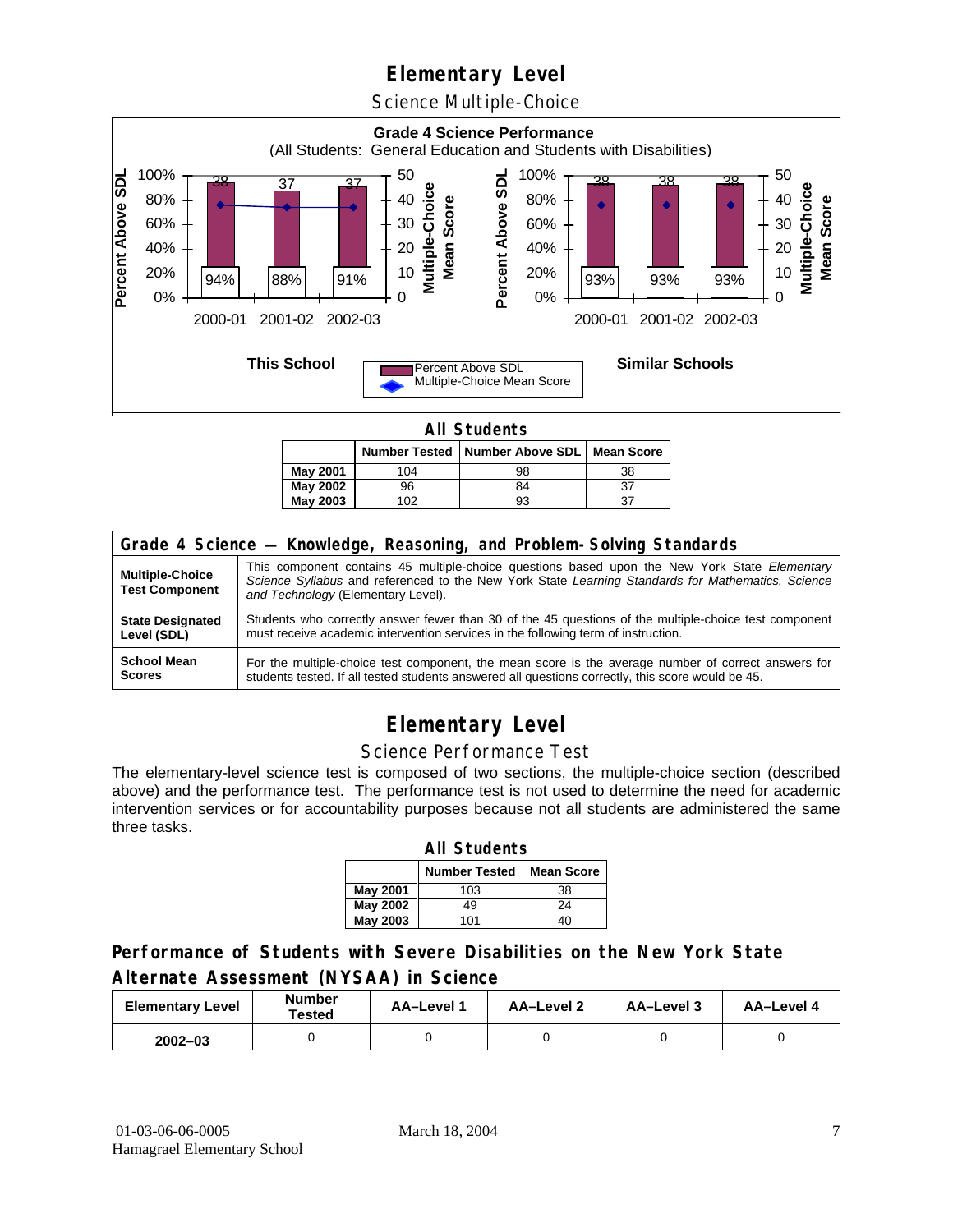Science Multiple-Choice



**All Students** 

|          |     | Number Tested   Number Above SDL   Mean Score |    |  |  |  |  |  |
|----------|-----|-----------------------------------------------|----|--|--|--|--|--|
| Mav 2001 | 104 | 98                                            | 38 |  |  |  |  |  |
| May 2002 | 96  | 84                                            | 37 |  |  |  |  |  |
| May 2003 | 02  | 93                                            |    |  |  |  |  |  |

| Grade 4 Science - Knowledge, Reasoning, and Problem-Solving Standards |                                                                                                                                                                                                                                          |  |  |  |  |  |
|-----------------------------------------------------------------------|------------------------------------------------------------------------------------------------------------------------------------------------------------------------------------------------------------------------------------------|--|--|--|--|--|
| <b>Multiple-Choice</b><br><b>Test Component</b>                       | This component contains 45 multiple-choice questions based upon the New York State Elementary<br>Science Syllabus and referenced to the New York State Learning Standards for Mathematics, Science<br>and Technology (Elementary Level). |  |  |  |  |  |
| <b>State Designated</b>                                               | Students who correctly answer fewer than 30 of the 45 questions of the multiple-choice test component                                                                                                                                    |  |  |  |  |  |
| Level (SDL)                                                           | must receive academic intervention services in the following term of instruction.                                                                                                                                                        |  |  |  |  |  |
| <b>School Mean</b>                                                    | For the multiple-choice test component, the mean score is the average number of correct answers for                                                                                                                                      |  |  |  |  |  |
| <b>Scores</b>                                                         | students tested. If all tested students answered all questions correctly, this score would be 45.                                                                                                                                        |  |  |  |  |  |

## **Elementary Level**

#### Science Performance Test

The elementary-level science test is composed of two sections, the multiple-choice section (described above) and the performance test. The performance test is not used to determine the need for academic intervention services or for accountability purposes because not all students are administered the same three tasks.

| <b>All Students</b>                       |     |                 |  |  |  |  |  |  |
|-------------------------------------------|-----|-----------------|--|--|--|--|--|--|
| <b>Number Tested</b><br><b>Mean Score</b> |     |                 |  |  |  |  |  |  |
| May 2001                                  | 103 | 38              |  |  |  |  |  |  |
| <b>May 2002</b>                           | 49  | 24              |  |  |  |  |  |  |
| <b>May 2003</b>                           | 101 | 10 <sup>1</sup> |  |  |  |  |  |  |

### **Performance of Students with Severe Disabilities on the New York State Alternate Assessment (NYSAA) in Science**

| <b>Elementary Level</b> | <b>Number</b><br>Tested | AA-Level | AA-Level 2 | <b>AA-Level 3</b> | AA-Level 4 |  |
|-------------------------|-------------------------|----------|------------|-------------------|------------|--|
| $2002 - 03$             |                         |          |            |                   |            |  |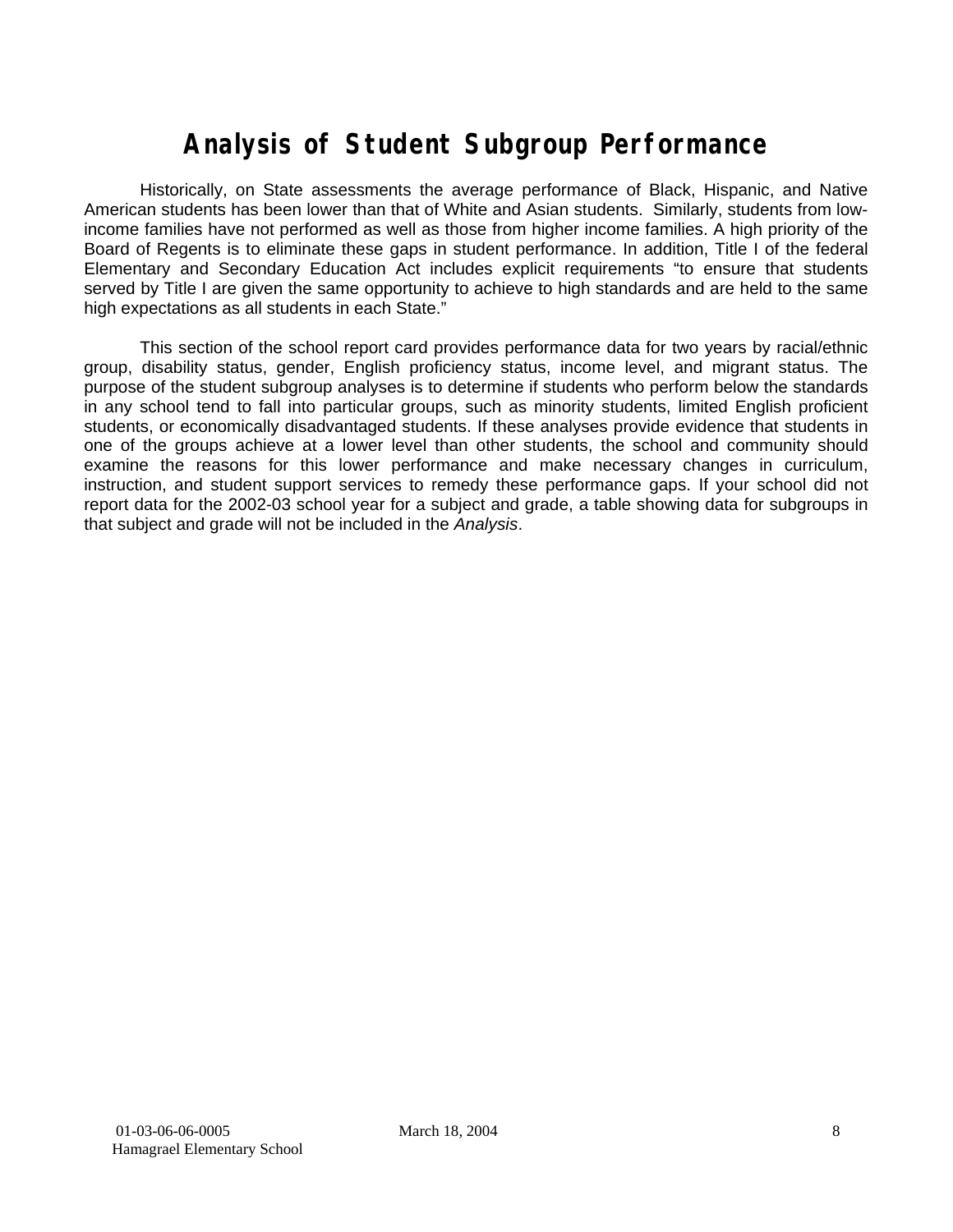# **Analysis of Student Subgroup Performance**

Historically, on State assessments the average performance of Black, Hispanic, and Native American students has been lower than that of White and Asian students. Similarly, students from lowincome families have not performed as well as those from higher income families. A high priority of the Board of Regents is to eliminate these gaps in student performance. In addition, Title I of the federal Elementary and Secondary Education Act includes explicit requirements "to ensure that students served by Title I are given the same opportunity to achieve to high standards and are held to the same high expectations as all students in each State."

This section of the school report card provides performance data for two years by racial/ethnic group, disability status, gender, English proficiency status, income level, and migrant status. The purpose of the student subgroup analyses is to determine if students who perform below the standards in any school tend to fall into particular groups, such as minority students, limited English proficient students, or economically disadvantaged students. If these analyses provide evidence that students in one of the groups achieve at a lower level than other students, the school and community should examine the reasons for this lower performance and make necessary changes in curriculum, instruction, and student support services to remedy these performance gaps. If your school did not report data for the 2002-03 school year for a subject and grade, a table showing data for subgroups in that subject and grade will not be included in the *Analysis*.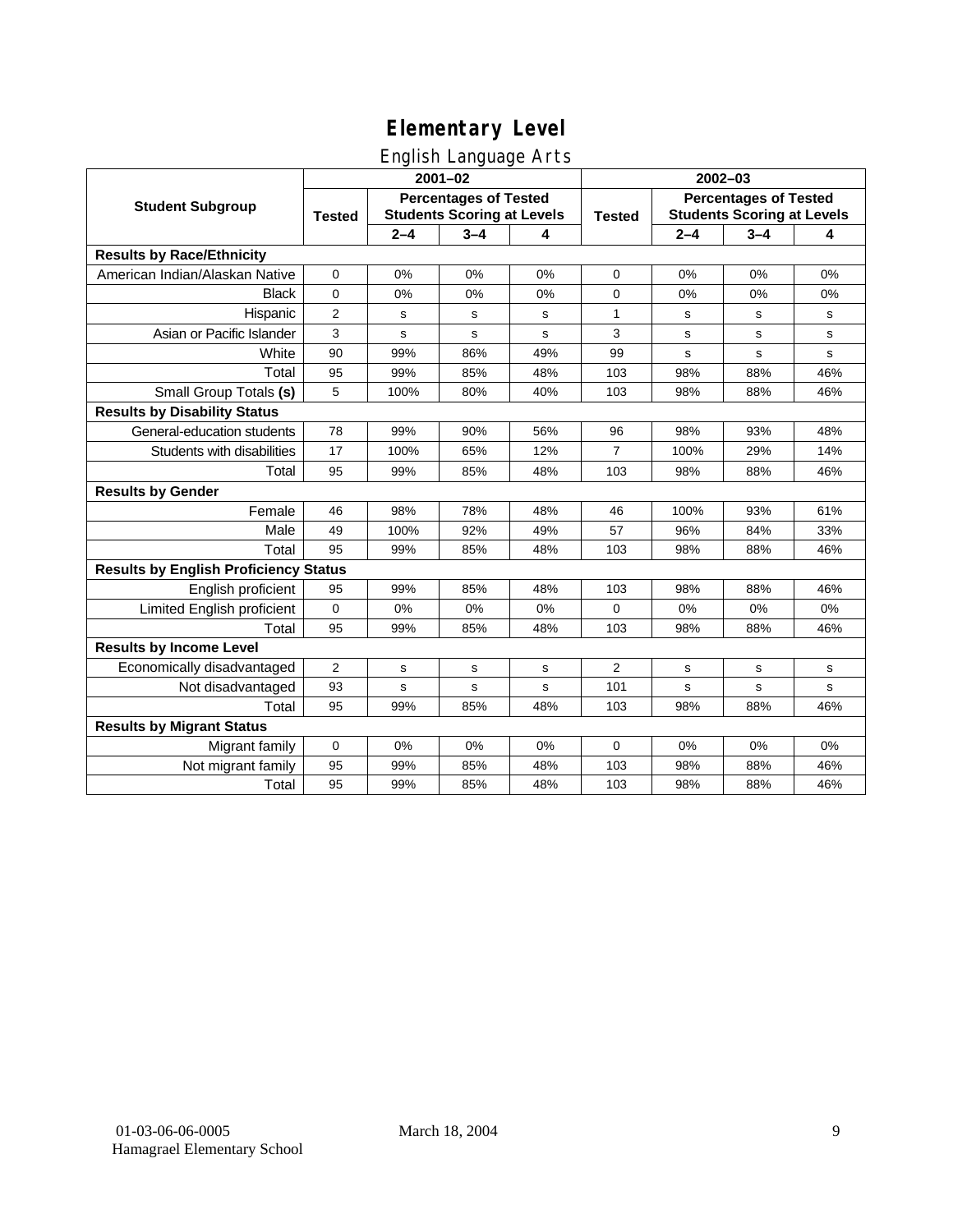### English Language Arts

|                                              | ັ<br>$2001 - 02$                                                                   |         |             |               | $2002 - 03$                                                       |             |             |           |
|----------------------------------------------|------------------------------------------------------------------------------------|---------|-------------|---------------|-------------------------------------------------------------------|-------------|-------------|-----------|
| <b>Student Subgroup</b>                      | <b>Percentages of Tested</b><br><b>Students Scoring at Levels</b><br><b>Tested</b> |         |             | <b>Tested</b> | <b>Percentages of Tested</b><br><b>Students Scoring at Levels</b> |             |             |           |
|                                              |                                                                                    | $2 - 4$ | $3 - 4$     | 4             |                                                                   | $2 - 4$     | $3 - 4$     | 4         |
| <b>Results by Race/Ethnicity</b>             |                                                                                    |         |             |               |                                                                   |             |             |           |
| American Indian/Alaskan Native               | $\mathbf 0$                                                                        | 0%      | 0%          | 0%            | 0                                                                 | 0%          | 0%          | 0%        |
| <b>Black</b>                                 | 0                                                                                  | 0%      | 0%          | 0%            | 0                                                                 | 0%          | 0%          | 0%        |
| Hispanic                                     | $\overline{2}$                                                                     | s       | s           | s             | 1                                                                 | s           | s           | s         |
| Asian or Pacific Islander                    | 3                                                                                  | s       | $\mathbf s$ | s             | 3                                                                 | s           | s           | ${\tt s}$ |
| White                                        | 90                                                                                 | 99%     | 86%         | 49%           | 99                                                                | $\mathbf s$ | $\mathbf s$ | s         |
| Total                                        | 95                                                                                 | 99%     | 85%         | 48%           | 103                                                               | 98%         | 88%         | 46%       |
| Small Group Totals (s)                       | 5                                                                                  | 100%    | 80%         | 40%           | 103                                                               | 98%         | 88%         | 46%       |
| <b>Results by Disability Status</b>          |                                                                                    |         |             |               |                                                                   |             |             |           |
| General-education students                   | 78                                                                                 | 99%     | 90%         | 56%           | 96                                                                | 98%         | 93%         | 48%       |
| Students with disabilities                   | 17                                                                                 | 100%    | 65%         | 12%           | $\overline{7}$                                                    | 100%        | 29%         | 14%       |
| Total                                        | 95                                                                                 | 99%     | 85%         | 48%           | 103                                                               | 98%         | 88%         | 46%       |
| <b>Results by Gender</b>                     |                                                                                    |         |             |               |                                                                   |             |             |           |
| Female                                       | 46                                                                                 | 98%     | 78%         | 48%           | 46                                                                | 100%        | 93%         | 61%       |
| Male                                         | 49                                                                                 | 100%    | 92%         | 49%           | 57                                                                | 96%         | 84%         | 33%       |
| Total                                        | 95                                                                                 | 99%     | 85%         | 48%           | 103                                                               | 98%         | 88%         | 46%       |
| <b>Results by English Proficiency Status</b> |                                                                                    |         |             |               |                                                                   |             |             |           |
| English proficient                           | 95                                                                                 | 99%     | 85%         | 48%           | 103                                                               | 98%         | 88%         | 46%       |
| Limited English proficient                   | 0                                                                                  | 0%      | 0%          | 0%            | 0                                                                 | 0%          | 0%          | 0%        |
| Total                                        | 95                                                                                 | 99%     | 85%         | 48%           | 103                                                               | 98%         | 88%         | 46%       |
| <b>Results by Income Level</b>               |                                                                                    |         |             |               |                                                                   |             |             |           |
| Economically disadvantaged                   | $\overline{2}$                                                                     | s       | s           | s             | 2                                                                 | s           | s           | s         |
| Not disadvantaged                            | 93                                                                                 | s       | s           | s             | 101                                                               | s           | s           | s         |
| Total                                        | 95                                                                                 | 99%     | 85%         | 48%           | 103                                                               | 98%         | 88%         | 46%       |
| <b>Results by Migrant Status</b>             |                                                                                    |         |             |               |                                                                   |             |             |           |
| Migrant family                               | 0                                                                                  | 0%      | 0%          | 0%            | 0                                                                 | 0%          | 0%          | 0%        |
| Not migrant family                           | 95                                                                                 | 99%     | 85%         | 48%           | 103                                                               | 98%         | 88%         | 46%       |
| Total                                        | 95                                                                                 | 99%     | 85%         | 48%           | 103                                                               | 98%         | 88%         | 46%       |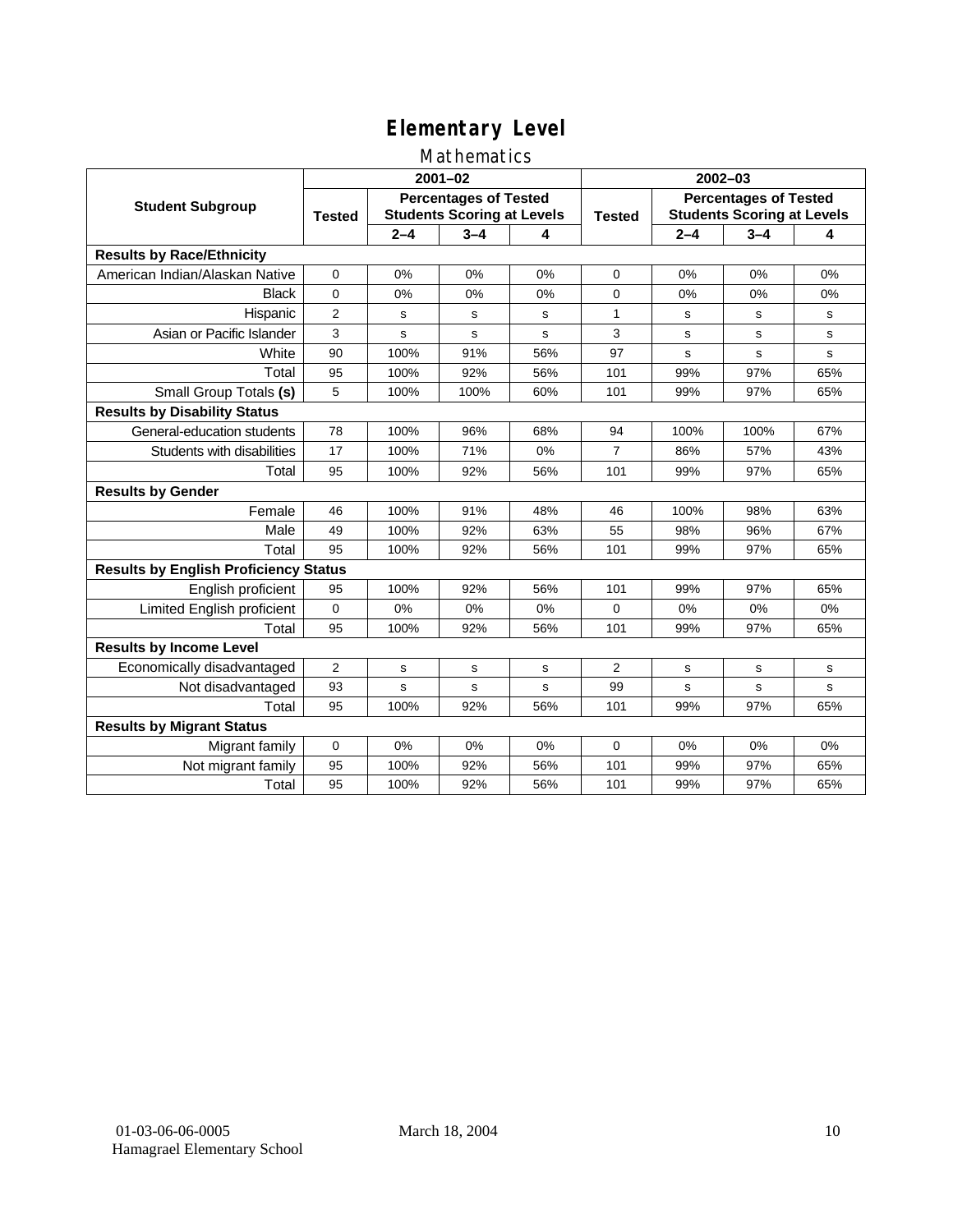### Mathematics

|                                              | $2001 - 02$                                                                        |         |         |               | $2002 - 03$                                                       |             |         |             |
|----------------------------------------------|------------------------------------------------------------------------------------|---------|---------|---------------|-------------------------------------------------------------------|-------------|---------|-------------|
| <b>Student Subgroup</b>                      | <b>Percentages of Tested</b><br><b>Students Scoring at Levels</b><br><b>Tested</b> |         |         | <b>Tested</b> | <b>Percentages of Tested</b><br><b>Students Scoring at Levels</b> |             |         |             |
|                                              |                                                                                    | $2 - 4$ | $3 - 4$ | 4             |                                                                   | $2 - 4$     | $3 - 4$ | 4           |
| <b>Results by Race/Ethnicity</b>             |                                                                                    |         |         |               |                                                                   |             |         |             |
| American Indian/Alaskan Native               | $\mathbf 0$                                                                        | 0%      | 0%      | 0%            | $\mathbf 0$                                                       | 0%          | 0%      | 0%          |
| <b>Black</b>                                 | 0                                                                                  | 0%      | 0%      | $0\%$         | 0                                                                 | 0%          | 0%      | 0%          |
| Hispanic                                     | $\overline{2}$                                                                     | s       | s       | s             | $\mathbf{1}$                                                      | s           | s       | s           |
| Asian or Pacific Islander                    | 3                                                                                  | s       | s       | s             | 3                                                                 | s           | s       | s           |
| White                                        | 90                                                                                 | 100%    | 91%     | 56%           | 97                                                                | $\mathbf s$ | s       | $\mathbf s$ |
| Total                                        | 95                                                                                 | 100%    | 92%     | 56%           | 101                                                               | 99%         | 97%     | 65%         |
| Small Group Totals (s)                       | 5                                                                                  | 100%    | 100%    | 60%           | 101                                                               | 99%         | 97%     | 65%         |
| <b>Results by Disability Status</b>          |                                                                                    |         |         |               |                                                                   |             |         |             |
| General-education students                   | 78                                                                                 | 100%    | 96%     | 68%           | 94                                                                | 100%        | 100%    | 67%         |
| Students with disabilities                   | 17                                                                                 | 100%    | 71%     | 0%            | $\overline{7}$                                                    | 86%         | 57%     | 43%         |
| Total                                        | 95                                                                                 | 100%    | 92%     | 56%           | 101                                                               | 99%         | 97%     | 65%         |
| <b>Results by Gender</b>                     |                                                                                    |         |         |               |                                                                   |             |         |             |
| Female                                       | 46                                                                                 | 100%    | 91%     | 48%           | 46                                                                | 100%        | 98%     | 63%         |
| Male                                         | 49                                                                                 | 100%    | 92%     | 63%           | 55                                                                | 98%         | 96%     | 67%         |
| Total                                        | 95                                                                                 | 100%    | 92%     | 56%           | 101                                                               | 99%         | 97%     | 65%         |
| <b>Results by English Proficiency Status</b> |                                                                                    |         |         |               |                                                                   |             |         |             |
| English proficient                           | 95                                                                                 | 100%    | 92%     | 56%           | 101                                                               | 99%         | 97%     | 65%         |
| Limited English proficient                   | 0                                                                                  | 0%      | 0%      | 0%            | $\Omega$                                                          | 0%          | 0%      | 0%          |
| Total                                        | 95                                                                                 | 100%    | 92%     | 56%           | 101                                                               | 99%         | 97%     | 65%         |
| <b>Results by Income Level</b>               |                                                                                    |         |         |               |                                                                   |             |         |             |
| Economically disadvantaged                   | $\overline{2}$                                                                     | s       | s       | s             | $\overline{2}$                                                    | s           | s       | s           |
| Not disadvantaged                            | 93                                                                                 | s       | s       | s             | 99                                                                | s           | s       | s           |
| Total                                        | 95                                                                                 | 100%    | 92%     | 56%           | 101                                                               | 99%         | 97%     | 65%         |
| <b>Results by Migrant Status</b>             |                                                                                    |         |         |               |                                                                   |             |         |             |
| Migrant family                               | 0                                                                                  | 0%      | 0%      | 0%            | $\Omega$                                                          | 0%          | 0%      | 0%          |
| Not migrant family                           | 95                                                                                 | 100%    | 92%     | 56%           | 101                                                               | 99%         | 97%     | 65%         |
| Total                                        | 95                                                                                 | 100%    | 92%     | 56%           | 101                                                               | 99%         | 97%     | 65%         |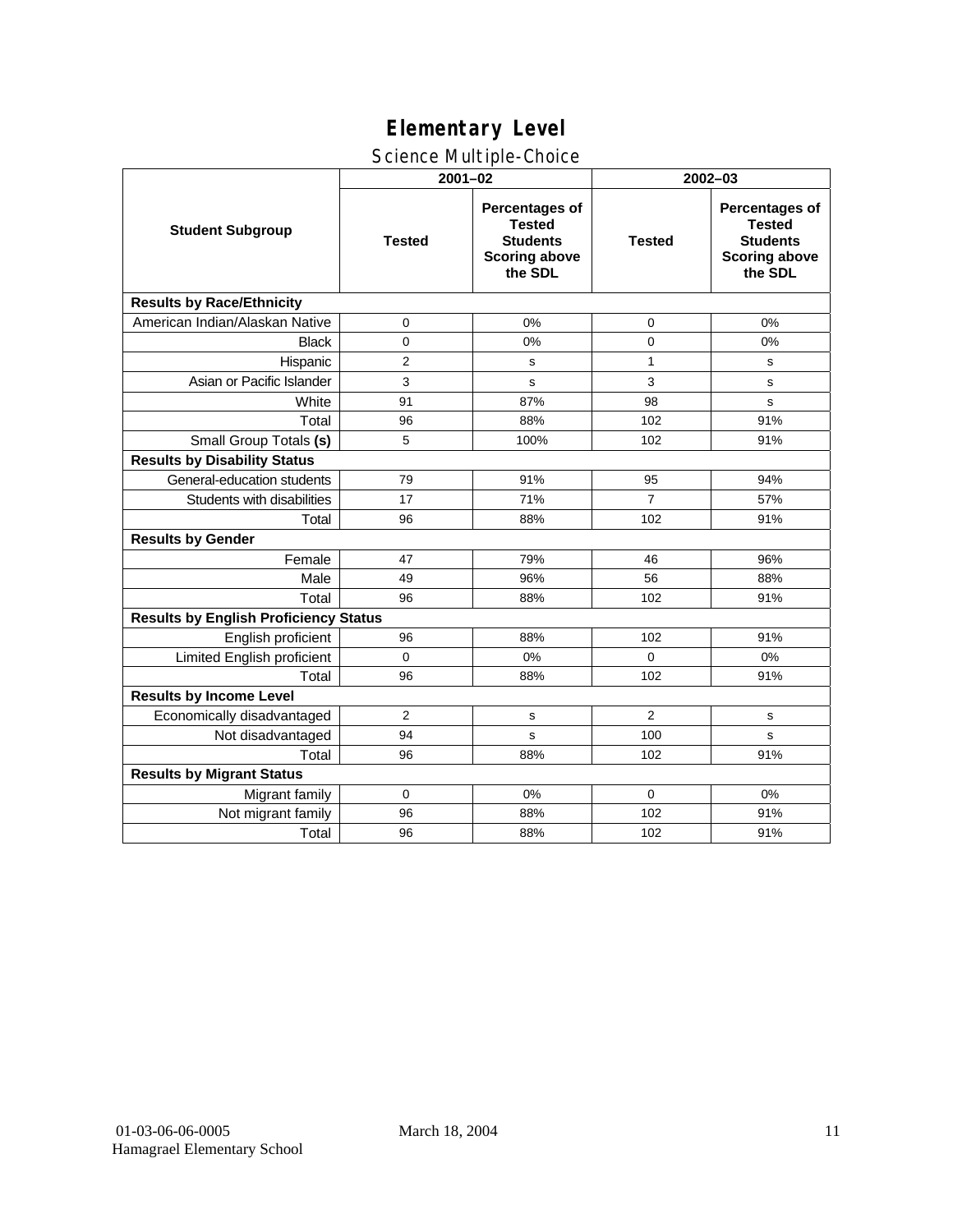### Science Multiple-Choice

|                                              | $2001 - 02$    |                                                                                       | 2002-03        |                                                                                       |  |  |
|----------------------------------------------|----------------|---------------------------------------------------------------------------------------|----------------|---------------------------------------------------------------------------------------|--|--|
| <b>Student Subgroup</b>                      | <b>Tested</b>  | Percentages of<br><b>Tested</b><br><b>Students</b><br><b>Scoring above</b><br>the SDL | <b>Tested</b>  | Percentages of<br><b>Tested</b><br><b>Students</b><br><b>Scoring above</b><br>the SDL |  |  |
| <b>Results by Race/Ethnicity</b>             |                |                                                                                       |                |                                                                                       |  |  |
| American Indian/Alaskan Native               | 0              | 0%                                                                                    | $\mathbf 0$    | 0%                                                                                    |  |  |
| <b>Black</b>                                 | $\Omega$       | 0%                                                                                    | $\Omega$       | 0%                                                                                    |  |  |
| Hispanic                                     | $\overline{2}$ | s                                                                                     | $\mathbf{1}$   | s                                                                                     |  |  |
| Asian or Pacific Islander                    | 3              | s                                                                                     | 3              | s                                                                                     |  |  |
| White                                        | 91             | 87%                                                                                   | 98             | s                                                                                     |  |  |
| Total                                        | 96             | 88%                                                                                   | 102            | 91%                                                                                   |  |  |
| Small Group Totals (s)                       | 5              | 100%                                                                                  | 102            | 91%                                                                                   |  |  |
| <b>Results by Disability Status</b>          |                |                                                                                       |                |                                                                                       |  |  |
| General-education students                   | 79             | 91%                                                                                   | 95             | 94%                                                                                   |  |  |
| Students with disabilities                   | 17             | 71%                                                                                   | $\overline{7}$ | 57%                                                                                   |  |  |
| Total                                        | 96             | 88%                                                                                   | 102            | 91%                                                                                   |  |  |
| <b>Results by Gender</b>                     |                |                                                                                       |                |                                                                                       |  |  |
| Female                                       | 47             | 79%                                                                                   | 46             | 96%                                                                                   |  |  |
| Male                                         | 49             | 96%                                                                                   | 56             | 88%                                                                                   |  |  |
| Total                                        | 96             | 88%                                                                                   | 102            | 91%                                                                                   |  |  |
| <b>Results by English Proficiency Status</b> |                |                                                                                       |                |                                                                                       |  |  |
| English proficient                           | 96             | 88%                                                                                   | 102            | 91%                                                                                   |  |  |
| Limited English proficient                   | $\mathbf 0$    | 0%                                                                                    | 0              | 0%                                                                                    |  |  |
| Total                                        | 96             | 88%                                                                                   | 102            | 91%                                                                                   |  |  |
| <b>Results by Income Level</b>               |                |                                                                                       |                |                                                                                       |  |  |
| Economically disadvantaged                   | $\overline{2}$ | s                                                                                     | $\overline{2}$ | s                                                                                     |  |  |
| Not disadvantaged                            | 94             | s                                                                                     | 100            | s                                                                                     |  |  |
| Total                                        | 96             | 88%                                                                                   | 102            | 91%                                                                                   |  |  |
| <b>Results by Migrant Status</b>             |                |                                                                                       |                |                                                                                       |  |  |
| Migrant family                               | $\Omega$       | 0%                                                                                    | $\Omega$       | 0%                                                                                    |  |  |
| Not migrant family                           | 96             | 88%                                                                                   | 102            | 91%                                                                                   |  |  |
| Total                                        | 96             | 88%                                                                                   | 102            | 91%                                                                                   |  |  |